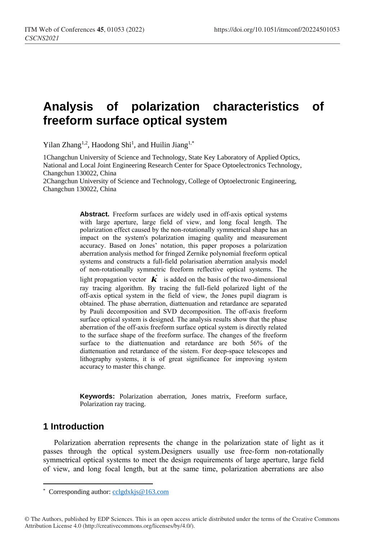# **Analysis of polarization characteristics of freeform surface optical system**

Yilan Zhang<sup>1,2</sup>, Haodong Shi<sup>1</sup>, and Huilin Jiang<sup>1,\*</sup>

1Changchun University of Science and Technology, State Key Laboratory of Applied Optics, National and Local Joint Engineering Research Center for Space Optoelectronics Technology, Changchun 130022, China

2Changchun University of Science and Technology, College of Optoelectronic Engineering, Changchun 130022, China

> **Abstract.** Freeform surfaces are widely used in off-axis optical systems with large aperture, large field of view, and long focal length. The polarization effect caused by the non-rotationally symmetrical shape has an impact on the system's polarization imaging quality and measurement accuracy. Based on Jones' notation, this paper proposes a polarization aberration analysis method for fringed Zernike polynomial freeform optical systems and constructs a full-field polarisation aberration analysis model of non-rotationally symmetric freeform reflective optical systems. The light propagation vector  $\vec{k}$  is added on the basis of the two-dimensional ray tracing algorithm. By tracing the full-field polarized light of the off-axis optical system in the field of view, the Jones pupil diagram is obtained. The phase aberration, diattenuation and retardance are separated by Pauli decomposition and SVD decomposition. The off-axis freeform surface optical system is designed. The analysis results show that the phase aberration of the off-axis freeform surface optical system is directly related to the surface shape of the freeform surface. The changes of the freeform surface to the diattenuation and retardance are both 56% of the diattenuation and retardance of the sistem. For deep-space telescopes and lithography systems, it is of great significance for improving system accuracy to master this change.

> **Keywords:** Polarization aberration, Jones matrix, Freeform surface, Polarization ray tracing.

# **1 Introduction**

 $\overline{a}$ 

Polarization aberration represents the change in the polarization state of light as it passes through the optical system.Designers usually use free-form non-rotationally symmetrical optical systems to meet the design requirements of large aperture, large field of view, and long focal length, but at the same time, polarization aberrations are also

<sup>\*</sup> Corresponding author[: cclgdxkjs@163.com](mailto:cclgdxkjs@163.com)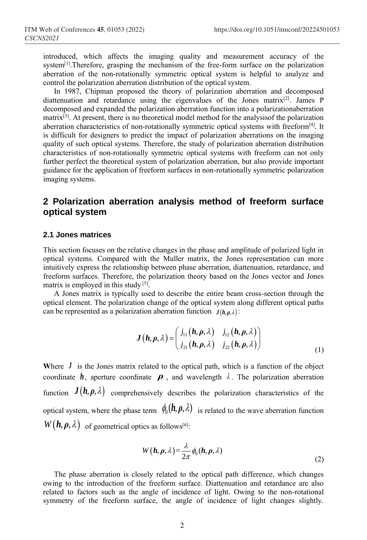introduced, which affects the imaging quality and measurement accuracy of the system<sup>[1]</sup>. Therefore, grasping the mechanism of the free-form surface on the polarization aberration of the non-rotationally symmetric optical system is helpful to analyze and control the polarization aberration distribution of the optical system.

In 1987, Chipman proposed the theory of polarization aberration and decomposed diattenuation and retardance using the eigenvalues of the Jones matrix[2]. James P decomposed and expanded the polarization aberration function into a polarizationaberration  $matrix^{[3]}$ . At present, there is no theoretical model method for the analysisof the polarization aberration characteristics of non-rotationally symmetric optical systems with freeform<sup>[4]</sup>. It is difficult for designers to predict the impact of polarization aberrations on the imaging quality of such optical systems. Therefore, the study of polarization aberration distribution characteristics of non-rotationally symmetric optical systems with freeform can not only further perfect the theoretical system of polarization aberration, but also provide important guidance for the application of freeform surfaces in non-rotationally symmetric polarization imaging systems.

# **2 Polarization aberration analysis method of freeform surface optical system**

### **2.1 Jones matrices**

This section focuses on the relative changes in the phase and amplitude of polarized light in optical systems. Compared with the Muller matrix, the Jones representation can more intuitively express the relationship between phase aberration, diattenuation, retardance, and freeform surfaces. Therefore, the polarization theory based on the Jones vector and Jones matrix is employed in this study [5].

A Jones matrix is typically used to describe the entire beam cross-section through the optical element. The polarization change of the optical system along different optical paths can be represented as a polarization aberration function  $J(h, \rho, \lambda)$ :

$$
\boldsymbol{J}\left(\boldsymbol{h},\boldsymbol{\rho},\lambda\right) = \begin{pmatrix} j_{11}\left(\boldsymbol{h},\boldsymbol{\rho},\lambda\right) & j_{12}\left(\boldsymbol{h},\boldsymbol{\rho},\lambda\right) \\ j_{21}\left(\boldsymbol{h},\boldsymbol{\rho},\lambda\right) & j_{22}\left(\boldsymbol{h},\boldsymbol{\rho},\lambda\right) \end{pmatrix} \tag{1}
$$

Where  $J$  is the Jones matrix related to the optical path, which is a function of the object coordinate  $h$ , aperture coordinate  $\rho$ , and wavelength  $\lambda$ . The polarization aberration function  $J(h, \rho, \lambda)$  comprehensively describes the polarization characteristics of the optical system, where the phase term  $\phi_0(h, \rho, \lambda)$  is related to the wave aberration function  $W(\boldsymbol{h}, \boldsymbol{\rho}, \lambda)$  of geometrical optics as follows<sup>[6]</sup>:

$$
W(\boldsymbol{h}, \boldsymbol{\rho}, \lambda) = \frac{\lambda}{2\pi} \phi_0(\boldsymbol{h}, \boldsymbol{\rho}, \lambda)
$$
\n(2)

The phase aberration is closely related to the optical path difference, which changes owing to the introduction of the freeform surface. Diattenuation and retardance are also related to factors such as the angle of incidence of light. Owing to the non-rotational symmetry of the freeform surface, the angle of incidence of light changes slightly.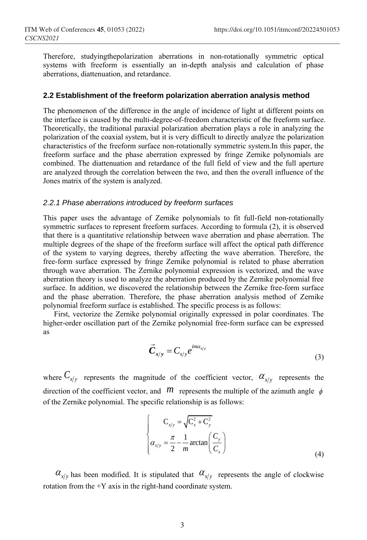Therefore, studyingthepolarization aberrations in non-rotationally symmetric optical systems with freeform is essentially an in-depth analysis and calculation of phase aberrations, diattenuation, and retardance.

### **2.2 Establishment of the freeform polarization aberration analysis method**

The phenomenon of the difference in the angle of incidence of light at different points on the interface is caused by the multi-degree-of-freedom characteristic of the freeform surface. Theoretically, the traditional paraxial polarization aberration plays a role in analyzing the polarization of the coaxial system, but it is very difficult to directly analyze the polarization characteristics of the freeform surface non-rotationally symmetric system.In this paper, the freeform surface and the phase aberration expressed by fringe Zernike polynomials are combined. The diattenuation and retardance of the full field of view and the full aperture are analyzed through the correlation between the two, and then the overall influence of the Jones matrix of the system is analyzed.

#### *2.2.1 Phase aberrations introduced by freeform surfaces*

This paper uses the advantage of Zernike polynomials to fit full-field non-rotationally symmetric surfaces to represent freeform surfaces. According to formula (2), it is observed that there is a quantitative relationship between wave aberration and phase aberration. The multiple degrees of the shape of the freeform surface will affect the optical path difference of the system to varying degrees, thereby affecting the wave aberration. Therefore, the free-form surface expressed by fringe Zernike polynomial is related to phase aberration through wave aberration. The Zernike polynomial expression is vectorized, and the wave aberration theory is used to analyze the aberration produced by the Zernike polynomial free surface. In addition, we discovered the relationship between the Zernike free-form surface and the phase aberration. Therefore, the phase aberration analysis method of Zernike polynomial freeform surface is established. The specific process is as follows:

First, vectorize the Zernike polynomial originally expressed in polar coordinates. The higher-order oscillation part of the Zernike polynomial free-form surface can be expressed as

$$
\vec{C}_{x/y} = C_{x/y} e^{im\alpha_{x/y}}
$$
\n(3)

where  $C_{x/y}$  represents the magnitude of the coefficient vector,  $\alpha_{x/y}$  represents the direction of the coefficient vector, and  $m$  represents the multiple of the azimuth angle  $\phi$ of the Zernike polynomial. The specific relationship is as follows:

$$
\begin{cases}\nC_{x/y} = \sqrt{C_x^2 + C_y^2} \\
\alpha_{x/y} = \frac{\pi}{2} - \frac{1}{m} \arctan\left(\frac{C_y}{C_x}\right)\n\end{cases}
$$
\n(4)

 $\alpha_{x/y}$  has been modified. It is stipulated that  $\alpha_{x/y}$  represents the angle of clockwise rotation from the +Y axis in the right-hand coordinate system.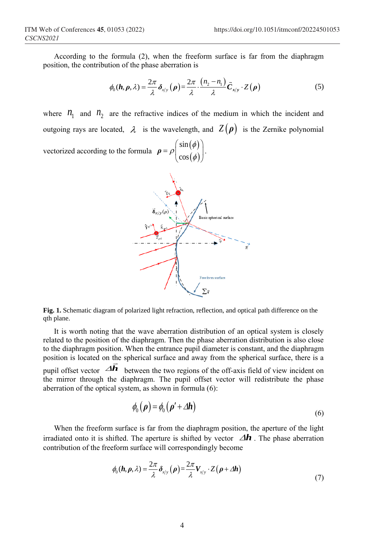According to the formula (2), when the freeform surface is far from the diaphragm position, the contribution of the phase aberration is

$$
\phi_0(\boldsymbol{h}, \boldsymbol{\rho}, \lambda) = \frac{2\pi}{\lambda} \delta_{x/y}(\boldsymbol{\rho}) = \frac{2\pi}{\lambda} \cdot \frac{(n_2 - n_1)}{\lambda} \bar{C}_{x/y} \cdot Z(\boldsymbol{\rho})
$$
(5)

where  $n_1$  and  $n_2$  are the refractive indices of the medium in which the incident and outgoing rays are located,  $\lambda$  is the wavelength, and  $Z(\rho)$  is the Zernike polynomial vectorized according to the formula  $\rho = \rho \begin{pmatrix} \sin(\phi) \\ \cos(\phi) \end{pmatrix}$  $(\phi)$ sin cos *ρ*  $(\sin(\phi))$  $= \rho \begin{bmatrix} 1 & 1 \\ 1 & 1 \end{bmatrix}.$  $\left(\cos(\varphi)\right)$  $\phi$  $\rho_{\cos(\phi)}$ .



**Fig. 1.** Schematic diagram of polarized light refraction, reflection, and optical path difference on the qth plane.

It is worth noting that the wave aberration distribution of an optical system is closely related to the position of the diaphragm. Then the phase aberration distribution is also close to the diaphragm position. When the entrance pupil diameter is constant, and the diaphragm position is located on the spherical surface and away from the spherical surface, there is a pupil offset vector  $\overrightarrow{AB}$  between the two regions of the off-axis field of view incident on the mirror through the diaphragm. The pupil offset vector will redistribute the phase aberration of the optical system, as shown in formula (6):

$$
\phi_0(\rho) = \phi_0(\rho' + \Delta h) \tag{6}
$$

When the freeform surface is far from the diaphragm position, the aperture of the light irradiated onto it is shifted. The aperture is shifted by vector  $\Delta h$ . The phase aberration contribution of the freeform surface will correspondingly become

$$
\phi_0(\boldsymbol{h}, \boldsymbol{\rho}, \lambda) = \frac{2\pi}{\lambda} \delta_{x/y} (\boldsymbol{\rho}) = \frac{2\pi}{\lambda} V_{x/y} \cdot Z (\boldsymbol{\rho} + \Delta \boldsymbol{h})
$$
\n(7)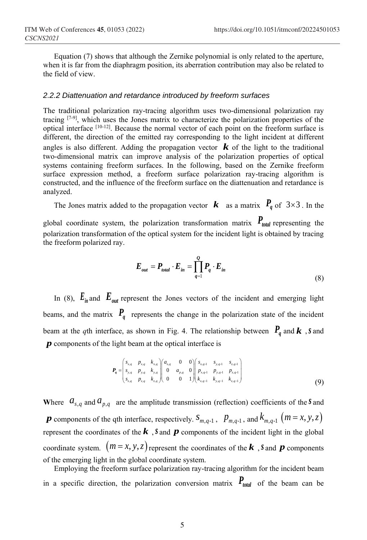Equation (7) shows that although the Zernike polynomial is only related to the aperture, when it is far from the diaphragm position, its aberration contribution may also be related to the field of view.

### *2.2.2 Diattenuation and retardance introduced by freeform surfaces*

The traditional polarization ray-tracing algorithm uses two-dimensional polarization ray tracing [7-9], which uses the Jones matrix to characterize the polarization properties of the optical interface [10-12]. Because the normal vector of each point on the freeform surface is different, the direction of the emitted ray corresponding to the light incident at different angles is also different. Adding the propagation vector  $\boldsymbol{k}$  of the light to the traditional two-dimensional matrix can improve analysis of the polarization properties of optical systems containing freeform surfaces. In the following, based on the Zernike freeform surface expression method, a freeform surface polarization ray-tracing algorithm is constructed, and the influence of the freeform surface on the diattenuation and retardance is analyzed.

The Jones matrix added to the propagation vector  $\boldsymbol{k}$  as a matrix  $P_q$  of  $3 \times 3$ . In the

global coordinate system, the polarization transformation matrix  $P_{total}$  representing the polarization transformation of the optical system for the incident light is obtained by tracing the freeform polarized ray.

$$
E_{out} = P_{total} \cdot E_{in} = \prod_{q=1}^{Q} P_q \cdot E_{in}
$$
\n(8)

In (8),  $E_{in}$  and  $E_{out}$  represent the Jones vectors of the incident and emerging light beams, and the matrix  $P_q$  represents the change in the polarization state of the incident beam at the *q*th interface, as shown in Fig. 4. The relationship between  $P_{q}$  and  $k$  , *s* and *p* components of the light beam at the optical interface is

$$
\boldsymbol{P}_{q} = \begin{pmatrix} s_{x,q} & p_{x,q} & k_{x,q} \\ s_{y,q} & p_{y,q} & k_{y,q} \\ s_{z,q} & p_{z,q} & k_{z,q} \end{pmatrix} \begin{pmatrix} a_{s,q} & 0 & 0 \\ 0 & a_{p,q} & 0 \\ 0 & 0 & 1 \end{pmatrix} \begin{pmatrix} s_{x,q-1} & s_{y,q-1} & s_{z,q-1} \\ p_{x,q-1} & p_{y,q-1} & p_{z,q-1} \\ p_{x,q-1} & k_{y,q-1} & k_{z,q-1} \end{pmatrix} \tag{9}
$$

Where  $a_{s,q}$  and  $a_{p,q}$  are the amplitude transmission (reflection) coefficients of the *S* and *p* components of the qth interface, respectively.  $S_{m,q-1}$ ,  $p_{m,q-1}$ , and  $k_{m,q-1}$   $(m = x, y, z)$ represent the coordinates of the  $k$ ,  $\delta$  and  $p$  components of the incident light in the global coordinate system.  $(m = x, y, z)$  represent the coordinates of the **k**, *s* and **p** components of the emerging light in the global coordinate system.

Employing the freeform surface polarization ray-tracing algorithm for the incident beam in a specific direction, the polarization conversion matrix  $P_{total}$  of the beam can be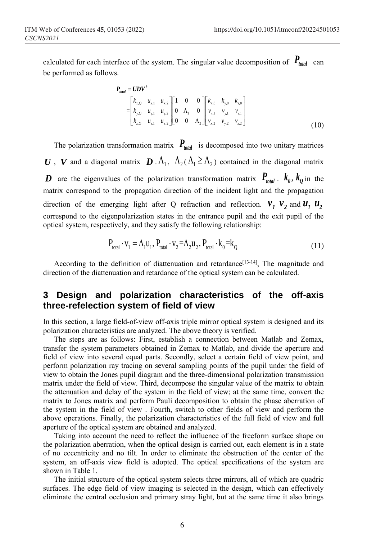calculated for each interface of the system. The singular value decomposition of  $P_{total}$  can be performed as follows.

$$
\mathbf{P}_{total} = \mathbf{U} \mathbf{D} \mathbf{V}^{\dagger} \n= \begin{bmatrix} k_{x,Q} & u_{x,1} & u_{x,2} \\ k_{y,Q} & u_{y,1} & u_{y,2} \\ k_{z,Q} & u_{z,1} & u_{z,2} \end{bmatrix} \begin{bmatrix} 1 & 0 & 0 \\ 0 & \Lambda_1 & 0 \\ 0 & 0 & \Lambda_2 \end{bmatrix} \begin{bmatrix} k_{x,0} & k_{y,0} & k_{z,0} \\ v_{x,1} & v_{y,1} & v_{z,1} \\ v_{x,2} & v_{y,2} & v_{z,2} \end{bmatrix}
$$
\n(10)

The polarization transformation matrix  $P_{total}$  is decomposed into two unitary matrices *U*, *V* and a diagonal matrix  $D \cdot \Lambda_1$ ,  $\Lambda_2(\Lambda_1 \geq \Lambda_2)$  contained in the diagonal matrix D are the eigenvalues of the polarization transformation matrix  $P_{total}$ .  $k_0$ ,  $k_0$  in the matrix correspond to the propagation direction of the incident light and the propagation direction of the emerging light after Q refraction and reflection.  $V_1$   $V_2$  and  $U_1$   $U_2$ correspond to the eigenpolarization states in the entrance pupil and the exit pupil of the optical system, respectively, and they satisfy the following relationship:

$$
P_{\text{total}} \cdot v_1 = \Lambda_1 u_1, P_{\text{total}} \cdot v_2 = \Lambda_2 u_2, P_{\text{total}} \cdot k_0 = k_0
$$
\n(11)

According to the definition of diattenuation and retardance<sup>[13-14]</sup>, The magnitude and direction of the diattenuation and retardance of the optical system can be calculated.

# **3 Design and polarization characteristics of the off-axis three-refelection system of field of view**

In this section, a large field-of-view off-axis triple mirror optical system is designed and its polarization characteristics are analyzed. The above theory is verified.

The steps are as follows: First, establish a connection between Matlab and Zemax, transfer the system parameters obtained in Zemax to Matlab, and divide the aperture and field of view into several equal parts. Secondly, select a certain field of view point, and perform polarization ray tracing on several sampling points of the pupil under the field of view to obtain the Jones pupil diagram and the three-dimensional polarization transmission matrix under the field of view. Third, decompose the singular value of the matrix to obtain the attenuation and delay of the system in the field of view; at the same time, convert the matrix to Jones matrix and perform Pauli decomposition to obtain the phase aberration of the system in the field of view . Fourth, switch to other fields of view and perform the above operations. Finally, the polarization characteristics of the full field of view and full aperture of the optical system are obtained and analyzed.

Taking into account the need to reflect the influence of the freeform surface shape on the polarization aberration, when the optical design is carried out, each element is in a state of no eccentricity and no tilt. In order to eliminate the obstruction of the center of the system, an off-axis view field is adopted. The optical specifications of the system are shown in Table 1.

The initial structure of the optical system selects three mirrors, all of which are quadric surfaces. The edge field of view imaging is selected in the design, which can effectively eliminate the central occlusion and primary stray light, but at the same time it also brings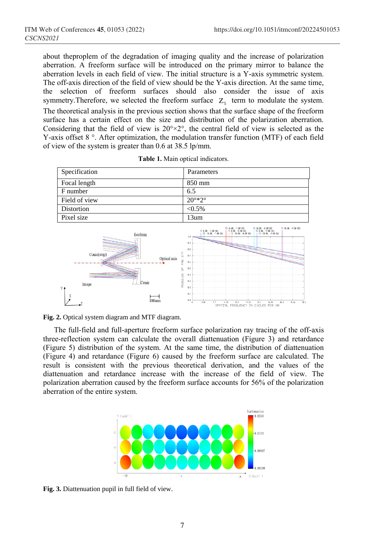about theproplem of the degradation of imaging quality and the increase of polarization aberration. A freeform surface will be introduced on the primary mirror to balance the aberration levels in each field of view. The initial structure is a Y-axis symmetric system. The off-axis direction of the field of view should be the Y-axis direction. At the same time, the selection of freeform surfaces should also consider the issue of axis symmetry. Therefore, we selected the freeform surface  $Z_5$  term to modulate the system. The theoretical analysis in the previous section shows that the surface shape of the freeform surface has a certain effect on the size and distribution of the polarization aberration. Considering that the field of view is  $20^{\circ} \times 2^{\circ}$ , the central field of view is selected as the Y-axis offset 8<sup>°</sup>. After optimization, the modulation transfer function (MTF) of each field of view of the system is greater than 0.6 at 38.5 lp/mm.

| Specification                                                                                                                | Parameters                                                                                                                                                                                                                                                                                                                                                                                                                                 |  |  |
|------------------------------------------------------------------------------------------------------------------------------|--------------------------------------------------------------------------------------------------------------------------------------------------------------------------------------------------------------------------------------------------------------------------------------------------------------------------------------------------------------------------------------------------------------------------------------------|--|--|
| Focal length                                                                                                                 | 850 mm                                                                                                                                                                                                                                                                                                                                                                                                                                     |  |  |
| F number                                                                                                                     | 6.5                                                                                                                                                                                                                                                                                                                                                                                                                                        |  |  |
| Field of view                                                                                                                | $20^{\circ}$ *2 $^{\circ}$                                                                                                                                                                                                                                                                                                                                                                                                                 |  |  |
| Distortion                                                                                                                   | $< 0.5\%$                                                                                                                                                                                                                                                                                                                                                                                                                                  |  |  |
| Pixel size                                                                                                                   | 13um                                                                                                                                                                                                                                                                                                                                                                                                                                       |  |  |
| freeform<br>$_{\rm 15}^{\rm \mu}$<br>Conic(stop)<br>Optical axis<br>붗<br>똥<br>MODULUS<br>Conic<br>Image<br>100 <sub>mm</sub> | TS 10.80, -7.00 DEG<br>  TS 8.88, -8.80 DEG<br>    TS -10.80, -8.00 DEG<br>TS 10.00, -9.00 DEG<br>TS 18.00, -9.88 DEC<br>TS 8.80, -9.08 DEC<br>TS -18.00, -9.88 DEC<br>TS 8.80, -7.00 DEG<br>   TS -10.00, -7.08 DEG<br>1.8<br>8.9<br>0.8<br>0.7<br>8.6<br>8.5<br>8.9<br>0.3<br>0.2<br>B.1<br>0.8<br>3.85<br>39.65<br>38.5<br>7.7<br>11.55<br>15.5<br>19.25<br>23.1<br>26.95<br>38.8<br>$\mathbf{a}$<br>SPATIAL FREQUENCY IN CYCLES PER MM |  |  |

|  |  |  | Table 1. Main optical indicators. |
|--|--|--|-----------------------------------|
|--|--|--|-----------------------------------|

The full-field and full-aperture freeform surface polarization ray tracing of the off-axis three-reflection system can calculate the overall diattenuation (Figure 3) and retardance (Figure 5) distribution of the system. At the same time, the distribution of diattenuation (Figure 4) and retardance (Figure 6) caused by the freeform surface are calculated. The result is consistent with the previous theoretical derivation, and the values of the diattenuation and retardance increase with the increase of the field of view. The polarization aberration caused by the freeform surface accounts for 56% of the polarization aberration of the entire system.



**Fig. 3.** Diattenuation pupil in full field of view.

**Fig. 2.** Optical system diagram and MTF diagram.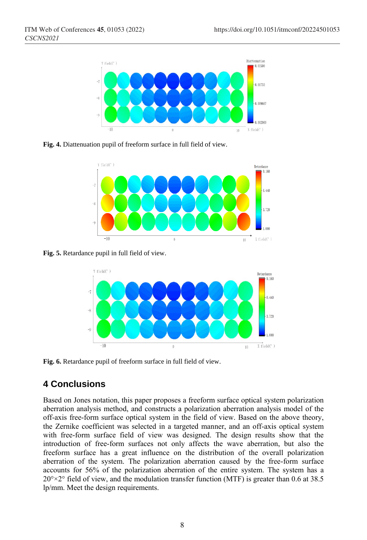

**Fig. 4.** Diattenuation pupil of freeform surface in full field of view.



**Fig. 5.** Retardance pupil in full field of view.



**Fig. 6.** Retardance pupil of freeform surface in full field of view.

# **4 Conclusions**

Based on Jones notation, this paper proposes a freeform surface optical system polarization aberration analysis method, and constructs a polarization aberration analysis model of the off-axis free-form surface optical system in the field of view. Based on the above theory, the Zernike coefficient was selected in a targeted manner, and an off-axis optical system with free-form surface field of view was designed. The design results show that the introduction of free-form surfaces not only affects the wave aberration, but also the freeform surface has a great influence on the distribution of the overall polarization aberration of the system. The polarization aberration caused by the free-form surface accounts for 56% of the polarization aberration of the entire system. The system has a  $20^{\circ} \times 2^{\circ}$  field of view, and the modulation transfer function (MTF) is greater than 0.6 at 38.5 lp/mm. Meet the design requirements.